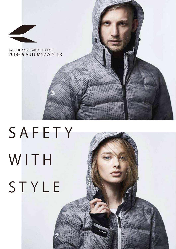

## **SAFETY** W I T H **STYLE**

affilm a strong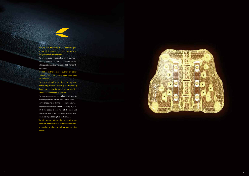**For conventiona l pro tective gear , we have** For conventional protective gear, we have<br>increased protection capacity by thickening increased protection capacity by thickening<br>them. However, the increased weight and size **came at the cost of reduced comfort.** them. However, the increased weight and size<br>came at the cost of reduced comfort.<br>For that reason, we have also continued to

For that reason, we have also continued t<br>develop protectors with excellent operability and **comfort, focusing on thinness and lightness while keeping the level of protection capability high. In 2018, we added a ne w type o f shou lder and w elbow protector, and a chest protector with enhanced impact absorption performance.**  comfort, focusing on thinness and lightness<br>keeping the level of protection capability hi<br>2018, we added a new type of shoulde 2018, we added a new type of shoulder and<br>elbow protector, and a chest protector with<br>enhanced impact absorption performance.

**We will pur sue s a fer and more comfortab l e We will pur protectors and continue to make constant efforts to develop products which surpass existing products. products.**We will pursue safer and more comfortab<br>protectors and continue to make constant efforts<br>to develop products which surpass existin



**We have been developing various protective gear so that all riders can enjoy their motorcycle lifestyles comfortably and safely.** We have been developing various protective gear<br>so that all riders can enjoy their motorcycle<br>lifestyles comfortably and safely.<br>We have focused on a standard called CE which

We have focused on a standard called CE which **is be ing en forced in Europe , and have star ted** is being enforced in Europe, and have started<br>selling protectors that has passed CE standard **since 2008. since** 

In addition to the CE standard, there are other **important factors we consider when developing our protectors.** In addition to the CE standard, there are other<br>important factors we consider when developing<br>our protectors.<br>For conventional protective gear, we hav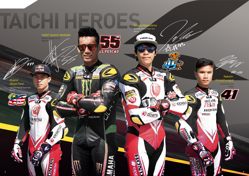